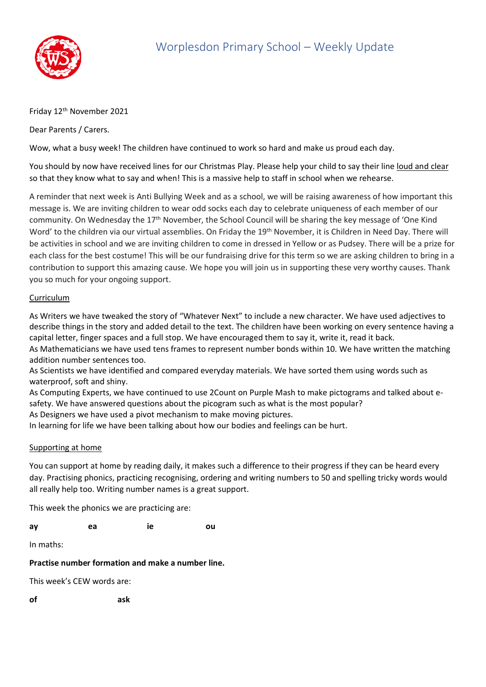

## Friday 12<sup>th</sup> November 2021

Dear Parents / Carers.

Wow, what a busy week! The children have continued to work so hard and make us proud each day.

You should by now have received lines for our Christmas Play. Please help your child to say their line loud and clear so that they know what to say and when! This is a massive help to staff in school when we rehearse.

A reminder that next week is Anti Bullying Week and as a school, we will be raising awareness of how important this message is. We are inviting children to wear odd socks each day to celebrate uniqueness of each member of our community. On Wednesday the 17th November, the School Council will be sharing the key message of 'One Kind Word' to the children via our virtual assemblies. On Friday the 19<sup>th</sup> November, it is Children in Need Day. There will be activities in school and we are inviting children to come in dressed in Yellow or as Pudsey. There will be a prize for each class for the best costume! This will be our fundraising drive for this term so we are asking children to bring in a contribution to support this amazing cause. We hope you will join us in supporting these very worthy causes. Thank you so much for your ongoing support.

## Curriculum

As Writers we have tweaked the story of "Whatever Next" to include a new character. We have used adjectives to describe things in the story and added detail to the text. The children have been working on every sentence having a capital letter, finger spaces and a full stop. We have encouraged them to say it, write it, read it back.

As Mathematicians we have used tens frames to represent number bonds within 10. We have written the matching addition number sentences too.

As Scientists we have identified and compared everyday materials. We have sorted them using words such as waterproof, soft and shiny.

As Computing Experts, we have continued to use 2Count on Purple Mash to make pictograms and talked about esafety. We have answered questions about the picogram such as what is the most popular?

As Designers we have used a pivot mechanism to make moving pictures.

In learning for life we have been talking about how our bodies and feelings can be hurt.

## Supporting at home

You can support at home by reading daily, it makes such a difference to their progress if they can be heard every day. Practising phonics, practicing recognising, ordering and writing numbers to 50 and spelling tricky words would all really help too. Writing number names is a great support.

This week the phonics we are practicing are:

**ay ea ie ou**

In maths:

## **Practise number formation and make a number line.**

This week's CEW words are:

**of ask**